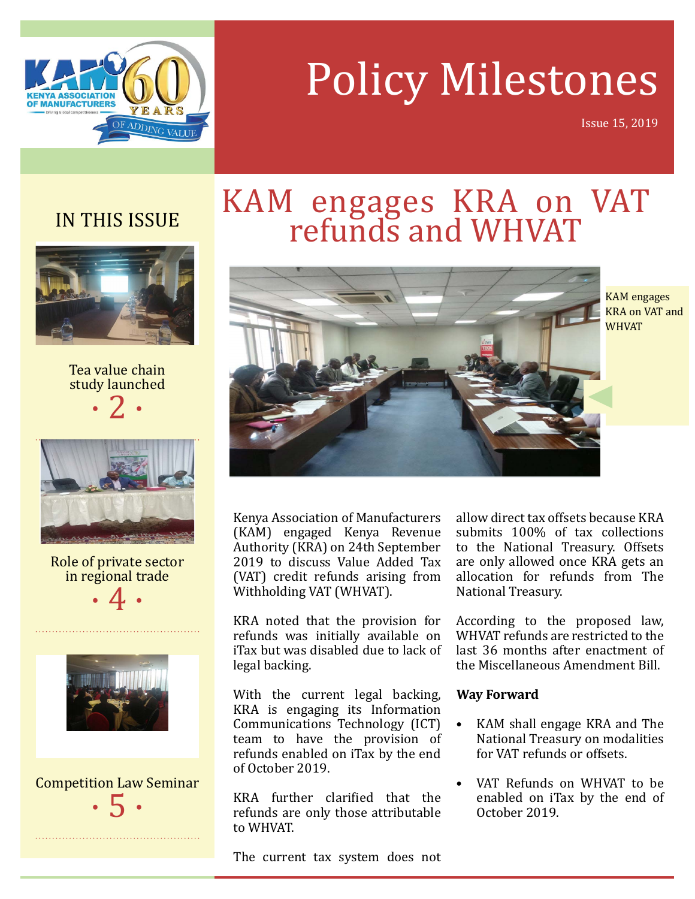

## Policy Milestones

Issue 15, 2019

### IN THIS ISSUE



Tea value chain study launched





Role of private sector in regional trade





Competition Law Seminar · 5 ·

# KAM engages KRA on VAT<br>refunds and WHVAT



KAM engages KRA on VAT and WHVAT

Kenya Association of Manufacturers (KAM) engaged Kenya Revenue Authority (KRA) on 24th September 2019 to discuss Value Added Tax (VAT) credit refunds arising from Withholding VAT (WHVAT).

KRA noted that the provision for refunds was initially available on iTax but was disabled due to lack of legal backing.

With the current legal backing, KRA is engaging its Information Communications Technology (ICT) team to have the provision of refunds enabled on iTax by the end of October 2019.

KRA further clarified that the refunds are only those attributable to WHVAT.

The current tax system does not

allow direct tax offsets because KRA submits 100% of tax collections to the National Treasury. Offsets are only allowed once KRA gets an allocation for refunds from The National Treasury.

According to the proposed law, WHVAT refunds are restricted to the last 36 months after enactment of the Miscellaneous Amendment Bill.

#### **Way Forward**

- KAM shall engage KRA and The National Treasury on modalities for VAT refunds or offsets.
- VAT Refunds on WHVAT to be enabled on iTax by the end of October 2019.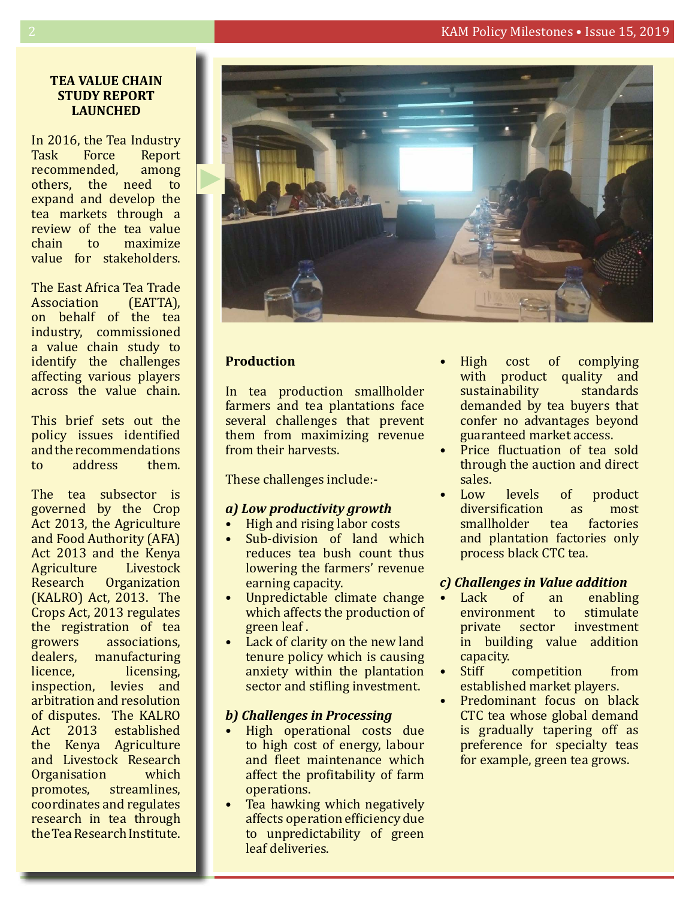#### **Tea Value Chain Study Report Launched**

In 2016, the Tea Industry<br>Task Force Report Report<br>among recommended, others, the need to expand and develop the tea markets through a review of the tea value<br>chain to maximize chain to maximize value for stakeholders.

The East Africa Tea Trade<br>Association (EATTA). Association (EATTA), on behalf of the tea industry, commissioned a value chain study to identify the challenges affecting various players across the value chain.

This brief sets out the policy issues identified and the recommendations<br>to address them. address

The tea subsector is governed by the Crop Act 2013, the Agriculture and Food Authority (AFA) Act 2013 and the Kenya<br>Agriculture Livestock Agriculture<br>Research **Organization** (KALRO) Act, 2013. The Crops Act, 2013 regulates the registration of tea<br>growers associations. associations. dealers, manufacturing<br>licence. licensing. licensing. inspection, levies and arbitration and resolution of disputes. The KALRO<br>Act 2013 established Act 2013 the Kenya Agriculture and Livestock Research<br>Organisation – which Organisation<br>promotes. streamlines. coordinates and regulates research in tea through the Tea Research Institute.



#### **Production**

In tea production smallholder farmers and tea plantations face several challenges that prevent them from maximizing revenue from their harvests.

These challenges include:-

#### *a) Low productivity growth*

- High and rising labor costs
- Sub-division of land which reduces tea bush count thus lowering the farmers' revenue earning capacity.
- Unpredictable climate change which affects the production of green leaf .
- Lack of clarity on the new land tenure policy which is causing anxiety within the plantation sector and stifling investment.

#### *b) Challenges in Processing*

- High operational costs due to high cost of energy, labour and fleet maintenance which affect the profitability of farm operations.
- Tea hawking which negatively affects operation efficiency due to unpredictability of green leaf deliveries.
- High cost of complying with product quality and<br>sustainability standards sustainability demanded by tea buyers that confer no advantages beyond guaranteed market access.
- Price fluctuation of tea sold through the auction and direct sales.<br>Low
- **levels** of product<br> **ication** as most diversification as most<br>smallholder tea factories smallholder tea and plantation factories only process black CTC tea.

## *c) Challenges in Value addition*

- of an enabling<br>nent to stimulate environment to private sector investment in building value addition capacity.<br>Stiff
- Stiff competition from established market players.
- Predominant focus on black CTC tea whose global demand is gradually tapering off as preference for specialty teas for example, green tea grows.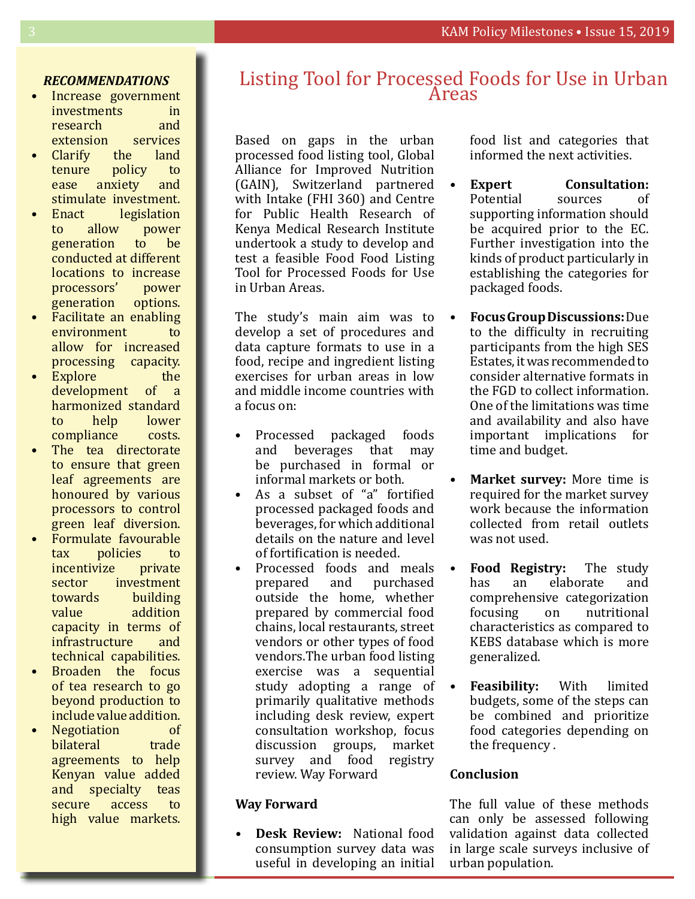#### *Recommendations*

- Increase government<br>investments in investments in<br>research and research and<br>extension services extension services<br>Clarify the land
- Clarify the land<br>tenure policy to tenure policy to<br>ease anxiety and ease anxiety stimulate investment.<br>Enact legislation
- Enact legislation<br>to allow power power<br>to be generation conducted at different locations to increase<br>processors' power processors' generation options.
- Facilitate an enabling<br>environment to environment allow for increased processing capacity.<br>Explore the
- $\bullet$  Explore development of a harmonized standard<br>to help lower help lower<br>ance costs. compliance
- The tea directorate to ensure that green leaf agreements are honoured by various processors to control green leaf diversion.
- Formulate favourable policies to<br>zize private incentivize<br>sector i sector investment<br>towards building towards building addition capacity in terms of<br>infrastructure and infrastructure technical capabilities.
- Broaden the focus of tea research to go beyond production to include value addition.
- Negotiation of<br>bilateral trade **bilateral** agreements to help Kenyan value added and specialty teas<br>secure access to secure high value markets.

Listing Tool for Processed Foods for Use in Urban Areas

Based on gaps in the urban processed food listing tool, Global Alliance for Improved Nutrition (GAIN), Switzerland partnered with Intake (FHI 360) and Centre for Public Health Research of Kenya Medical Research Institute undertook a study to develop and test a feasible Food Food Listing Tool for Processed Foods for Use in Urban Areas.

The study's main aim was to develop a set of procedures and data capture formats to use in a food, recipe and ingredient listing exercises for urban areas in low and middle income countries with a focus on:

- Processed packaged foods and beverages that may be purchased in formal or informal markets or both.
- As a subset of "a" fortified processed packaged foods and beverages, for which additional details on the nature and level of fortification is needed.
- Processed foods and meals •<br>prepared and purchased purchased outside the home, whether prepared by commercial food chains, local restaurants, street vendors or other types of food vendors.The urban food listing exercise was a sequential study adopting a range of primarily qualitative methods including desk review, expert consultation workshop, focus<br>discussion groups, market discussion survey and food registry review. Way Forward

#### **Way Forward**

**• Desk Review:** National food consumption survey data was useful in developing an initial food list and categories that informed the next activities.

- **• Expert Consultation:** Potential sources of supporting information should be acquired prior to the EC. Further investigation into the kinds of product particularly in establishing the categories for packaged foods.
- **• Focus Group Discussions:** Due to the difficulty in recruiting participants from the high SES Estates, it was recommended to consider alternative formats in the FGD to collect information. One of the limitations was time and availability and also have important implications for time and budget.
- **Market survey:** More time is required for the market survey work because the information collected from retail outlets was not used.
- **Food Registry:** The study has an elaborate and elaborate comprehensive categorization<br>focusing on nutritional nutritional characteristics as compared to KEBS database which is more generalized.
- **Feasibility:** With limited budgets, some of the steps can be combined and prioritize food categories depending on the frequency .

#### **Conclusion**

The full value of these methods can only be assessed following validation against data collected in large scale surveys inclusive of urban population.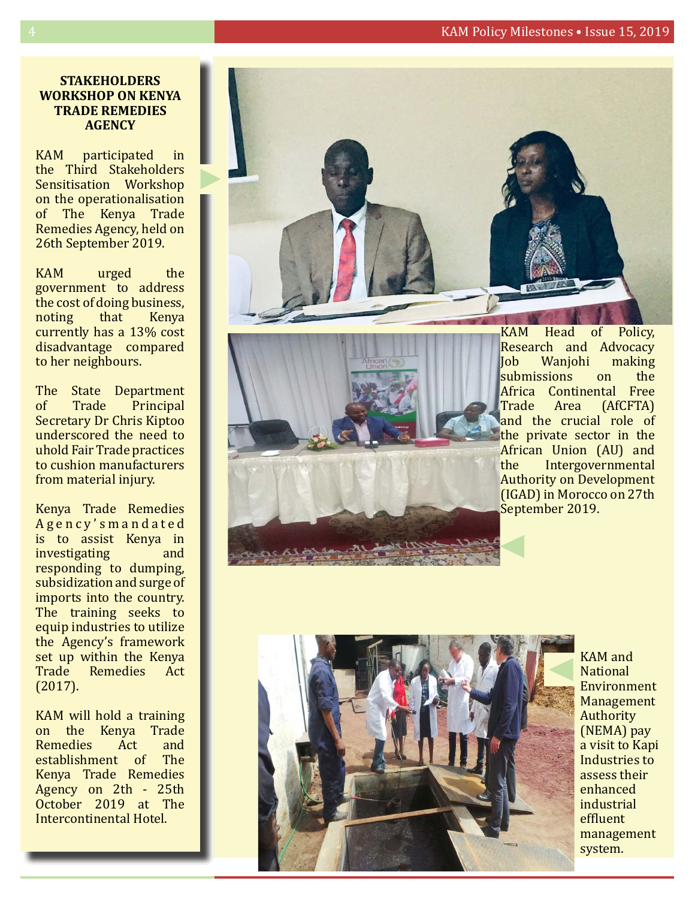#### **Stakeholders workshop on KENYA TRADE R E MEDIES A GEN C Y**

KAM participated in the Third Stakeholders Sensitisation Workshop on the operationalisation<br>of The Kenva Trade The Kenya Trade Remedies Agency, held on 26th September 2019.

 $KAM$  urged the government to address the cost of doing business,<br>noting that Kenva noting that Kenya currently has a 13% cost disadvantage compared to her neighbours.

The State Department<br>of Trade Principal Principal Secretary Dr Chris Kiptoo underscored the need to uhold Fair Trade practices to cushion manufacturers from material injury.

Kenya Trade Remedies Agency's mandated is to assist Kenya in investigating responding to dumping, subsidization and surge of imports into the country. The training seeks to equip industries to utilize the Agency's framework set up within the Kenya<br>Trade Remedies Act Remedies (2017).

KAM will hold a training on the Kenya Trade<br>Remedies Act and Remedies establishment of The Kenya Trade Remedies Agency on 2th - 25th October 2019 at The Intercontinental Hotel.





KAM Head of Policy, Research and Advocacy Job Wanjohi makin<mark>g</mark><br>submissions on the submissions Africa Continental Free<br>Trade Area (AfCFTA)  $(AfCFTA)$ and the crucial role of the private sector in the African Union (AU) and<br>the Intergovernmental **Intergovernmental** Authority on Development (IGAD) in Morocco on 27th September 2019.



KAM and **National Environment** Management Authority (NEMA) pay a visit to Kapi Industries to assess their enhanced industrial effluent management system.